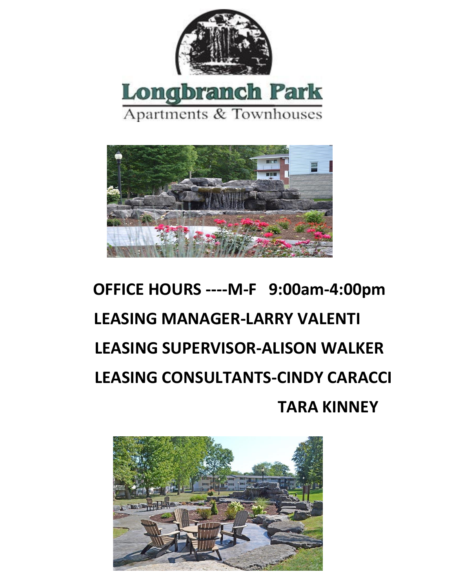



# **OFFICE HOURS ----M-F 9:00am-4:00pm LEASING MANAGER-LARRY VALENTI LEASING SUPERVISOR-ALISON WALKER LEASING CONSULTANTS-CINDY CARACCI TARA KINNEY**

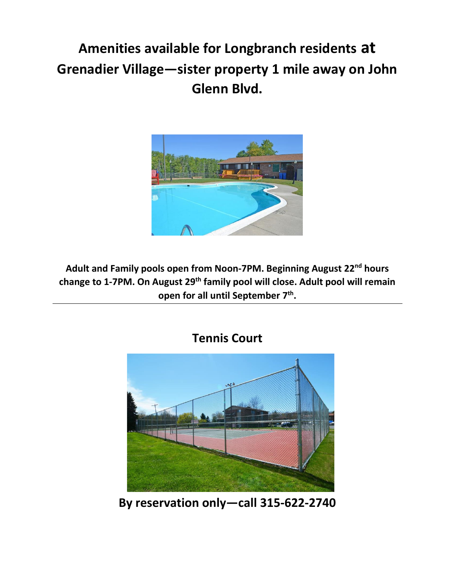### **Amenities available for Longbranch residents at Grenadier Village—sister property 1 mile away on John Glenn Blvd.**



**Adult and Family pools open from Noon-7PM. Beginning August 22nd hours change to 1-7PM. On August 29th family pool will close. Adult pool will remain open for all until September 7th .** 



**By reservation only—call 315-622-2740**

#### **Tennis Court**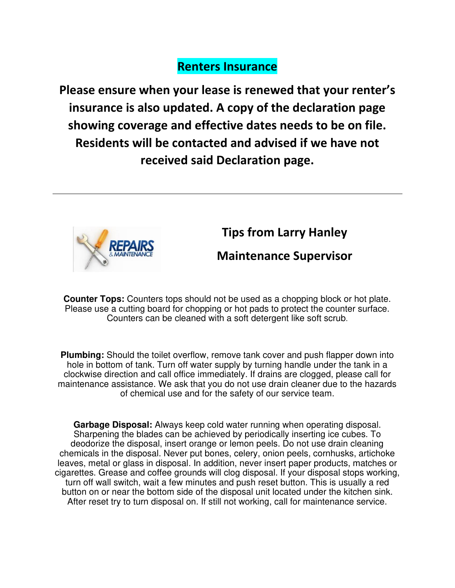#### **Renters Insurance**

**Please ensure when your lease is renewed that your renter's insurance is also updated. A copy of the declaration page showing coverage and effective dates needs to be on file. Residents will be contacted and advised if we have not received said Declaration page.** 



#### **Tips from Larry Hanley**

#### **Maintenance Supervisor**

**Counter Tops:** Counters tops should not be used as a chopping block or hot plate. Please use a cutting board for chopping or hot pads to protect the counter surface. Counters can be cleaned with a soft detergent like soft scrub.

**Plumbing:** Should the toilet overflow, remove tank cover and push flapper down into hole in bottom of tank. Turn off water supply by turning handle under the tank in a clockwise direction and call office immediately. If drains are clogged, please call for maintenance assistance. We ask that you do not use drain cleaner due to the hazards of chemical use and for the safety of our service team.

**Garbage Disposal:** Always keep cold water running when operating disposal. Sharpening the blades can be achieved by periodically inserting ice cubes. To deodorize the disposal, insert orange or lemon peels. Do not use drain cleaning chemicals in the disposal. Never put bones, celery, onion peels, cornhusks, artichoke leaves, metal or glass in disposal. In addition, never insert paper products, matches or cigarettes. Grease and coffee grounds will clog disposal. If your disposal stops working, turn off wall switch, wait a few minutes and push reset button. This is usually a red button on or near the bottom side of the disposal unit located under the kitchen sink. After reset try to turn disposal on. If still not working, call for maintenance service.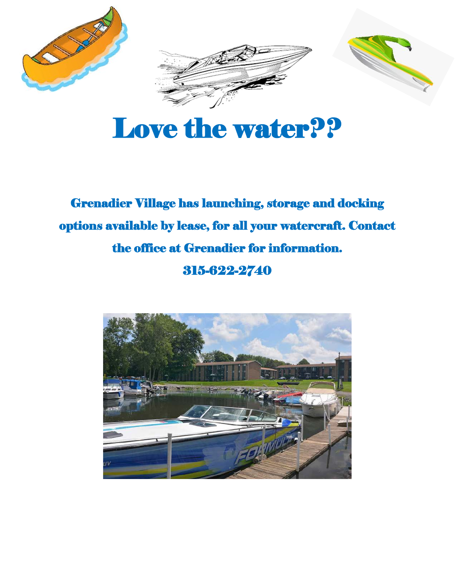

# Love the water??

### Grenadier Village has launching, storage and docking options available by lease, for all your watercraft. Contact the office at Grenadier for information. 315-622-2740